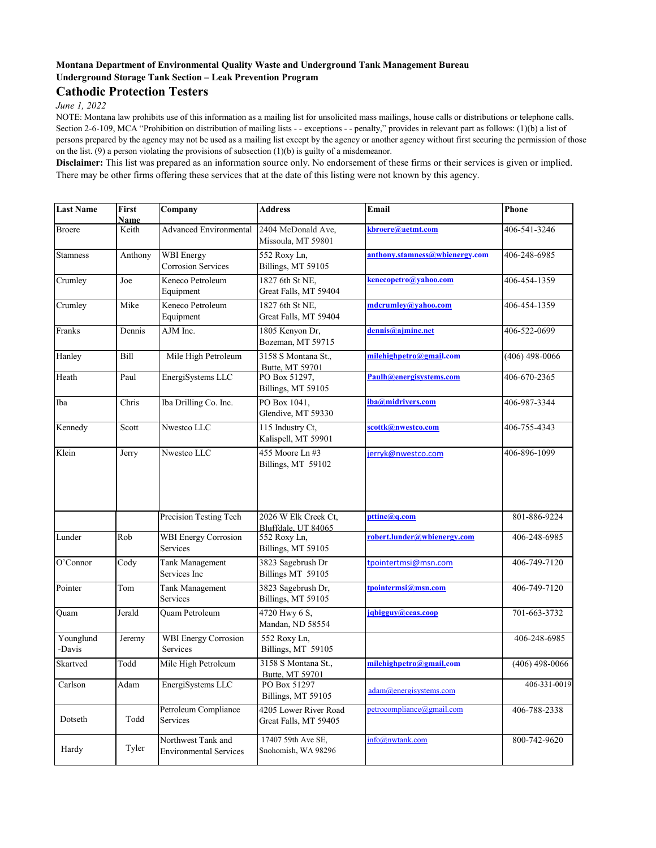## **Montana Department of Environmental Quality Waste and Underground Tank Management Bureau Underground Storage Tank Section – Leak Prevention Program**

## **Cathodic Protection Testers**

*June 1, 2022*

NOTE: Montana law prohibits use of this information as a mailing list for unsolicited mass mailings, house calls or distributions or telephone calls. Section 2-6-109, MCA "Prohibition on distribution of mailing lists - - exceptions - - penalty," provides in relevant part as follows: (1)(b) a list of persons prepared by the agency may not be used as a mailing list except by the agency or another agency without first securing the permission of those on the list. (9) a person violating the provisions of subsection (1)(b) is guilty of a misdemeanor.

**Disclaimer:** This list was prepared as an information source only. No endorsement of these firms or their services is given or implied. There may be other firms offering these services that at the date of this listing were not known by this agency.

| <b>Last Name</b>    | First<br><b>Name</b> | Company                                             | <b>Address</b>                                 | Email                          | Phone            |
|---------------------|----------------------|-----------------------------------------------------|------------------------------------------------|--------------------------------|------------------|
| <b>Broere</b>       | Keith                | <b>Advanced Environmental</b>                       | 2404 McDonald Ave,<br>Missoula, MT 59801       | kbroere@aetmt.com              | 406-541-3246     |
| <b>Stamness</b>     | Anthony              | <b>WBI</b> Energy<br>Corrosion Services             | 552 Roxy Ln,<br>Billings, MT 59105             | anthony.stamness@wbienergy.com | 406-248-6985     |
| Crumley             | Joe                  | Keneco Petroleum<br>Equipment                       | 1827 6th St NE,<br>Great Falls, MT 59404       | kenecopetro@yahoo.com          | 406-454-1359     |
| Crumley             | Mike                 | Keneco Petroleum<br>Equipment                       | 1827 6th St NE.<br>Great Falls, MT 59404       | mdcrumley@yahoo.com            | 406-454-1359     |
| Franks              | Dennis               | AJM Inc.                                            | 1805 Kenyon Dr,<br>Bozeman, MT 59715           | dennis@ajminc.net              | 406-522-0699     |
| Hanley              | Bill                 | Mile High Petroleum                                 | 3158 S Montana St.,<br>Butte, MT 59701         | milehighpetro@gmail.com        | $(406)$ 498-0066 |
| Heath               | Paul                 | EnergiSystems LLC                                   | PO Box 51297,<br>Billings, MT 59105            | Paulh@energisystems.com        | 406-670-2365     |
| Iba                 | Chris                | Iba Drilling Co. Inc.                               | PO Box 1041,<br>Glendive, MT 59330             | iba@midrivers.com              | 406-987-3344     |
| Kennedy             | Scott                | Nwestco LLC                                         | 115 Industry Ct,<br>Kalispell, MT 59901        | scottk@nwestco.com             | 406-755-4343     |
| Klein               | Jerry                | Nwestco LLC                                         | 455 Moore Ln #3<br>Billings, MT 59102          | jerryk@nwestco.com             | 406-896-1099     |
|                     |                      | Precision Testing Tech                              | 2026 W Elk Creek Ct,<br>Bluffdale, UT 84065    | pttinc@q.com                   | 801-886-9224     |
| Lunder              | Rob                  | <b>WBI</b> Energy Corrosion<br>Services             | 552 Roxy Ln,<br>Billings, MT 59105             | robert.lunder@wbienergy.com    | 406-248-6985     |
| O'Connor            | Cody                 | Tank Management<br>Services Inc                     | 3823 Sagebrush Dr<br>Billings MT 59105         | tpointertmsi@msn.com           | 406-749-7120     |
| Pointer             | Tom                  | Tank Management<br>Services                         | 3823 Sagebrush Dr,<br>Billings, MT 59105       | tpointermsi@msn.com            | 406-749-7120     |
| Ouam                | Jerald               | Quam Petroleum                                      | 4720 Hwy 6 S,<br>Mandan, ND 58554              | jqbigguy@ceas.coop             | 701-663-3732     |
| Younglund<br>-Davis | Jeremy               | <b>WBI</b> Energy Corrosion<br>Services             | 552 Roxy Ln,<br>Billings, MT 59105             |                                | 406-248-6985     |
| Skartved            | Todd                 | Mile High Petroleum                                 | 3158 S Montana St.,<br>Butte, MT 59701         | milehighpetro@gmail.com        | $(406)$ 498-0066 |
| Carlson             | Adam                 | EnergiSystems LLC                                   | PO Box 51297<br>Billings, MT 59105             | $adam@energy$ systems.com      | 406-331-0019     |
| Dotseth             | Todd                 | Petroleum Compliance<br>Services                    | 4205 Lower River Road<br>Great Falls, MT 59405 | petrocompliance@gmail.com      | 406-788-2338     |
| Hardy               | Tyler                | Northwest Tank and<br><b>Environmental Services</b> | 17407 59th Ave SE,<br>Snohomish, WA 98296      | info@nwtank.com                | 800-742-9620     |